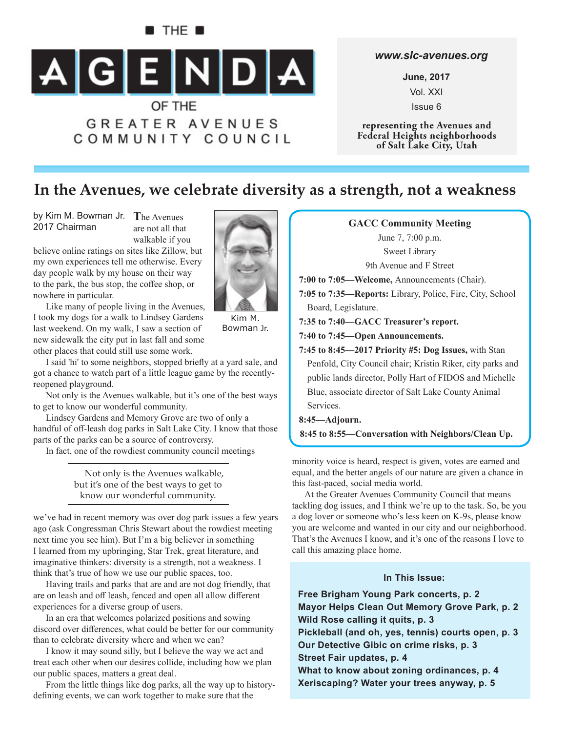

## *www.slc-avenues.org*

**June, 2017** Vol. XXI Issue 6

**representing the Avenues and Federal Heights neighborhoods of Salt Lake City, Utah**

## **In the Avenues, we celebrate diversity as a strength, not a weakness**

by Kim M. Bowman Jr. The Avenues 2017 Chairman

are not all that walkable if you

believe online ratings on sites like Zillow, but my own experiences tell me otherwise. Every day people walk by my house on their way to the park, the bus stop, the coffee shop, or nowhere in particular.

Like many of people living in the Avenues, I took my dogs for a walk to Lindsey Gardens last weekend. On my walk, I saw a section of new sidewalk the city put in last fall and some other places that could still use some work.

I said 'hi' to some neighbors, stopped briefly at a yard sale, and got a chance to watch part of a little league game by the recentlyreopened playground.

Not only is the Avenues walkable, but it's one of the best ways to get to know our wonderful community.

Lindsey Gardens and Memory Grove are two of only a handful of off -leash dog parks in Salt Lake City. I know that those parts of the parks can be a source of controversy.

In fact, one of the rowdiest community council meetings

Not only is the Avenues walkable, but it's one of the best ways to get to know our wonderful community.

we've had in recent memory was over dog park issues a few years ago (ask Congressman Chris Stewart about the rowdiest meeting next time you see him). But I'm a big believer in something I learned from my upbringing, Star Trek, great literature, and imaginative thinkers: diversity is a strength, not a weakness. I think that's true of how we use our public spaces, too.

Having trails and parks that are and are not dog friendly, that are on leash and off leash, fenced and open all allow different experiences for a diverse group of users.

In an era that welcomes polarized positions and sowing discord over differences, what could be better for our community than to celebrate diversity where and when we can?

I know it may sound silly, but I believe the way we act and treat each other when our desires collide, including how we plan our public spaces, matters a great deal.

From the little things like dog parks, all the way up to historydefining events, we can work together to make sure that the



Kim M. Bowman Jr.

**GACC Community Meeting** June 7, 7:00 p.m. Sweet Library 9th Avenue and F Street **7:00 to 7:05—Welcome,** Announcements (Chair). **7:05 to 7:35—Reports:** Library, Police, Fire, City, School Board, Legislature. **7:35 to 7:40—GACC Treasurer's report. 7:40 to 7:45—Open Announcements. 7:45 to 8:45—2017 Priority #5: Dog Issues,** with Stan Penfold, City Council chair; Kristin Riker, city parks and public lands director, Polly Hart of FIDOS and Michelle Blue, associate director of Salt Lake County Animal Services. **8:45—Adjourn.**

**8:45 to 8:55—Conversation with Neighbors/Clean Up.**

minority voice is heard, respect is given, votes are earned and equal, and the better angels of our nature are given a chance in this fast-paced, social media world.

At the Greater Avenues Community Council that means tackling dog issues, and I think we're up to the task. So, be you a dog lover or someone who's less keen on K-9s, please know you are welcome and wanted in our city and our neighborhood. That's the Avenues I know, and it's one of the reasons I love to call this amazing place home.

### **In This Issue:**

**Free Brigham Young Park concerts, p. 2 Mayor Helps Clean Out Memory Grove Park, p. 2 Wild Rose calling it quits, p. 3 Pickleball (and oh, yes, tennis) courts open, p. 3 Our Detective Gibic on crime risks, p. 3 Street Fair updates, p. 4 What to know about zoning ordinances, p. 4 Xeriscaping? Water your trees anyway, p. 5**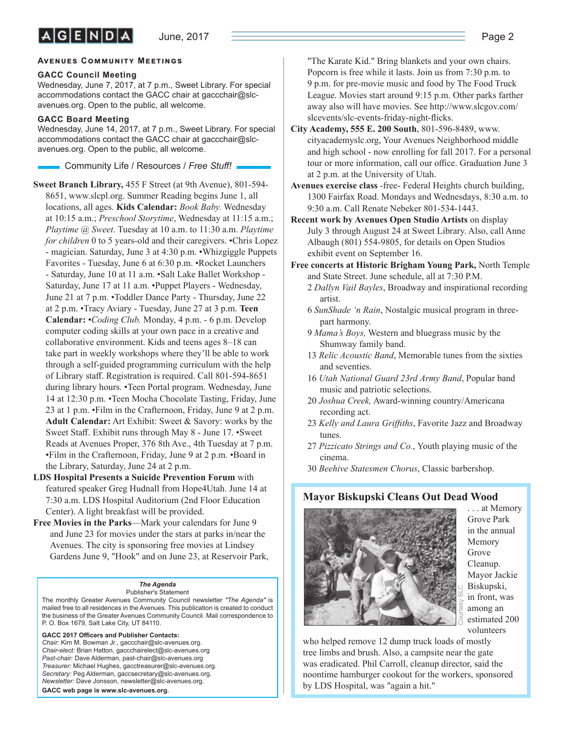### **AVENUES COMMUNITY MEETINGS**

#### **GACC Council Meeting**

Wednesday, June 7, 2017, at 7 p.m., Sweet Library. For special accommodations contact the GACC chair at gaccchair@slcavenues.org. Open to the public, all welcome.

#### **GACC Board Meeting**

Wednesday, June 14, 2017, at 7 p.m., Sweet Library. For special accommodations contact the GACC chair at gaccchair@slcavenues.org. Open to the public, all welcome.

Community Life / Resources / *Free Stuff !*

**Sweet Branch Library,** 455 F Street (at 9th Avenue), 801-594- 8651, www.slcpl.org. Summer Reading begins June 1, all locations, all ages. **Kids Calendar:** *Book Baby.* Wednesday at 10:15 a.m.; *Preschool Storytime*, Wednesday at 11:15 a.m.; *Playtime @ Sweet*. Tuesday at 10 a.m. to 11:30 a.m. *Playtime for children* 0 to 5 years-old and their caregivers. •Chris Lopez - magician. Saturday, June 3 at 4:30 p.m. •Whizgiggle Puppets Favorites - Tuesday, June 6 at 6:30 p.m. •Rocket Launchers - Saturday, June 10 at 11 a.m. •Salt Lake Ballet Workshop - Saturday, June 17 at 11 a.m. •Puppet Players - Wednesday, June 21 at 7 p.m. •Toddler Dance Party - Thursday, June 22 at 2 p.m. •Tracy Aviary - Tuesday, June 27 at 3 p.m. **Teen Calendar:** •*Coding Club.* Monday, 4 p.m. - 6 p.m. Develop computer coding skills at your own pace in a creative and collaborative environment. Kids and teens ages 8–18 can take part in weekly workshops where they'll be able to work through a self-guided programming curriculum with the help of Library staff. Registration is required. Call 801-594-8651 during library hours. •Teen Portal program. Wednesday, June 14 at 12:30 p.m. •Teen Mocha Chocolate Tasting, Friday, June 23 at 1 p.m. •Film in the Crafternoon, Friday, June 9 at 2 p.m. **Adult Calendar:** Art Exhibit: Sweet & Savory: works by the Sweet Staff. Exhibit runs through May 8 - June 17. • Sweet Reads at Avenues Proper, 376 8th Ave., 4th Tuesday at 7 p.m. •Film in the Crafternoon, Friday, June 9 at 2 p.m. •Board in the Library, Saturday, June 24 at 2 p.m.

- **LDS Hospital Presents a Suicide Prevention Forum** with featured speaker Greg Hudnall from Hope4Utah. June 14 at 7:30 a.m. LDS Hospital Auditorium (2nd Floor Education Center). A light breakfast will be provided.
- **Free Movies in the Parks**—Mark your calendars for June 9 and June 23 for movies under the stars at parks in/near the Avenues. The city is sponsoring free movies at Lindsey Gardens June 9, "Hook" and on June 23, at Reservoir Park,

#### *The Agenda*

Publisher's Statement The monthly Greater Avenues Community Council newsletter *"The Agenda"* is mailed free to all residences in the Avenues. This publication is created to conduct the business of the Greater Avenues Community Council. Mail correspondence to P. O. Box 1679, Salt Lake City, UT 84110.

GACC 2017 Officers and Publisher Contacts: *Chair:* Kim M. Bowman Jr., gaccchair@slc-avenues.org. *Chair-elect:* Brian Hatton, gaccchairelect@slc-avenues.org *Past-chair:* Dave Alderman, past-chair@slc-avenues.org *Treasurer:* Michael Hughes, gacctreasurer@slc-avenues.org. *Secretary:* Peg Alderman, gaccsecretary@slc-avenues.org. *Newsletter:* Dave Jonsson, newsletter@slc-avenues.org.

**GACC web page is www.slc-avenues.org.**

"The Karate Kid." Bring blankets and your own chairs. Popcorn is free while it lasts. Join us from 7:30 p.m. to 9 p.m. for pre-movie music and food by The Food Truck League. Movies start around 9:15 p.m. Other parks farther away also will have movies. See http://www.slcgov.com/ slcevents/slc-events-friday-night-flicks.

- **City Academy, 555 E. 200 South**, 801-596-8489, www. cityacademyslc.org, Your Avenues Neighborhood middle and high school - now enrolling for fall 2017. For a personal tour or more information, call our office. Graduation June 3 at 2 p.m. at the University of Utah.
- **Avenues exercise class** -free- Federal Heights church building, 1300 Fairfax Road. Mondays and Wednesdays, 8:30 a.m. to 9:30 a.m. Call Renate Nebeker 801-534-1443.
- **Recent work by Avenues Open Studio Artists** on display July 3 through August 24 at Sweet Library. Also, call Anne Albaugh (801) 554-9805, for details on Open Studios exhibit event on September 16.
- **Free concerts at Historic Brigham Young Park,** North Temple and State Street. June schedule, all at 7:30 P.M.
	- 2 *Dallyn Vail Bayles*, Broadway and inspirational recording artist.
	- 6 *SunShade 'n Rain*, Nostalgic musical program in threepart harmony.
	- 9 *Mama's Boys,* Western and bluegrass music by the Shumway family band.
	- 13 *Relic Acoustic Band*, Memorable tunes from the sixties and seventies.
	- 16 *Utah National Guard 23rd Army Band*, Popular band music and patriotic selections.
	- 20 *Joshua Creek,* Award-winning country/Americana recording act.
	- 23 *Kelly and Laura Griffiths*, Favorite Jazz and Broadway tunes.
	- 27 *Pizzicato Strings and Co.*, Youth playing music of the cinema.
	- 30 *Beehive Statesmen Chorus*, Classic barbershop.

## **Mayor Biskupski Cleans Out Dead Wood**



. . . at Memory Grove Park in the annual Memory Grove Cleanup. Mayor Jackie Biskupski, in front, was among an estimated 200 volunteers

who helped remove 12 dump truck loads of mostly tree limbs and brush. Also, a campsite near the gate was eradicated. Phil Carroll, cleanup director, said the noontime hamburger cookout for the workers, sponsored by LDS Hospital, was "again a hit."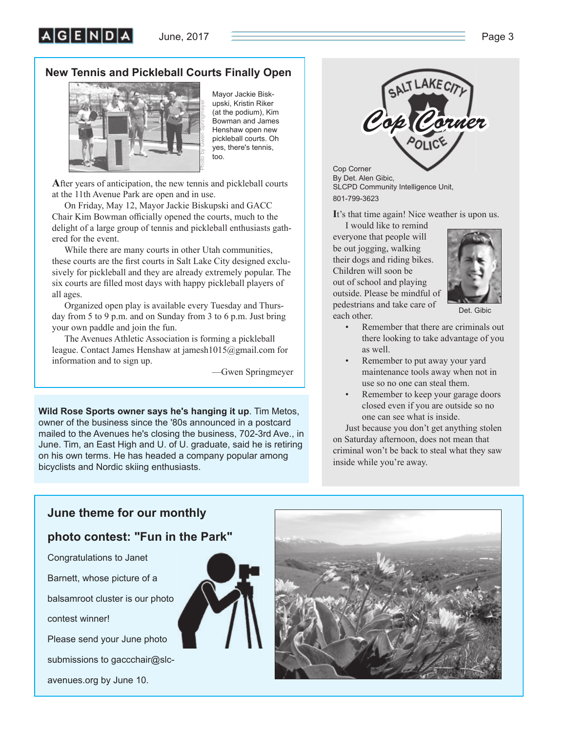June, 2017  $\overline{\hspace{1cm}}$  Page 3

## **New Tennis and Pickleball Courts Finally Open**



Mayor Jackie Biskupski, Kristin Riker (at the podium), Kim Bowman and James Henshaw open new pickleball courts. Oh yes, there's tennis, too.

**A**fter years of anticipation, the new tennis and pickleball courts at the 11th Avenue Park are open and in use.

On Friday, May 12, Mayor Jackie Biskupski and GACC Chair Kim Bowman officially opened the courts, much to the delight of a large group of tennis and pickleball enthusiasts gathered for the event.

While there are many courts in other Utah communities, these courts are the first courts in Salt Lake City designed exclusively for pickleball and they are already extremely popular. The six courts are filled most days with happy pickleball players of all ages.

Organized open play is available every Tuesday and Thursday from 5 to 9 p.m. and on Sunday from 3 to 6 p.m. Just bring your own paddle and join the fun.

The Avenues Athletic Association is forming a pickleball league. Contact James Henshaw at jamesh1015@gmail.com for information and to sign up.

—Gwen Springmeyer

**Wild Rose Sports owner says he's hanging it up**. Tim Metos, owner of the business since the '80s announced in a postcard mailed to the Avenues he's closing the business, 702-3rd Ave., in June. Tim, an East High and U. of U. graduate, said he is retiring on his own terms. He has headed a company popular among bicyclists and Nordic skiing enthusiasts.



Cop Corner By Det. Alen Gibic, SLCPD Community Intelligence Unit, 801-799-3623

**I**t's that time again! Nice weather is upon us.

I would like to remind everyone that people will be out jogging, walking their dogs and riding bikes. Children will soon be out of school and playing outside. Please be mindful of pedestrians and take care of each other.



Det. Gibic

- Remember that there are criminals out there looking to take advantage of you as well.
- Remember to put away your yard maintenance tools away when not in use so no one can steal them.
- Remember to keep your garage doors closed even if you are outside so no one can see what is inside.

Just because you don't get anything stolen on Saturday afternoon, does not mean that criminal won't be back to steal what they saw inside while you're away.

## **June theme for our monthly**

## **photo contest: "Fun in the Park"**

Congratulations to Janet

Barnett, whose picture of a

balsamroot cluster is our photo

contest winner!

Please send your June photo

submissions to gaccchair@slc-

avenues.org by June 10.



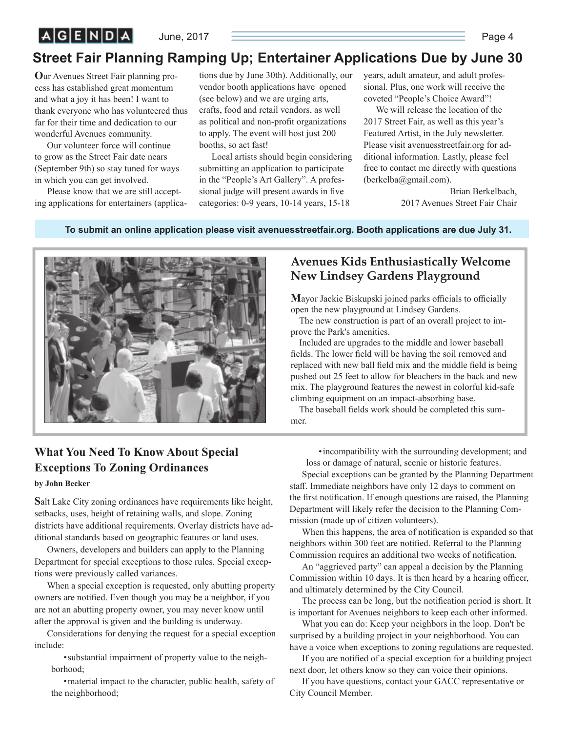June, 2017 Page 4

# **Street Fair Planning Ramping Up; Entertainer Applications Due by June 30**

**O**ur Avenues Street Fair planning process has established great momentum and what a joy it has been! I want to thank everyone who has volunteered thus far for their time and dedication to our wonderful Avenues community.

Our volunteer force will continue to grow as the Street Fair date nears (September 9th) so stay tuned for ways in which you can get involved.

Please know that we are still accepting applications for entertainers (applica-

tions due by June 30th). Additionally, our vendor booth applications have opened (see below) and we are urging arts, crafts, food and retail vendors, as well as political and non-profit organizations to apply. The event will host just 200 booths, so act fast!

Local artists should begin considering submitting an application to participate in the "People's Art Gallery". A professional judge will present awards in five categories: 0-9 years, 10-14 years, 15-18

years, adult amateur, and adult professional. Plus, one work will receive the coveted "People's Choice Award"!

We will release the location of the 2017 Street Fair, as well as this year's Featured Artist, in the July newsletter. Please visit avenuesstreetfair.org for additional information. Lastly, please feel free to contact me directly with questions (berkelba@gmail.com).

> —Brian Berkelbach, 2017 Avenues Street Fair Chair

#### **To submit an online application please visit avenuesstreetfair.org. Booth applications are due July 31.**



## **Avenues Kids Enthusiastically Welcome New Lindsey Gardens Playground**

**Mayor Jackie Biskupski joined parks officials to officially** open the new playground at Lindsey Gardens.

The new construction is part of an overall project to improve the Park's amenities.

Included are upgrades to the middle and lower baseball fields. The lower field will be having the soil removed and replaced with new ball field mix and the middle field is being pushed out 25 feet to allow for bleachers in the back and new mix. The playground features the newest in colorful kid-safe climbing equipment on an impact-absorbing base.

The baseball fields work should be completed this summer.

## **What You Need To Know About Special Exceptions To Zoning Ordinances**

#### **by John Becker**

**S**alt Lake City zoning ordinances have requirements like height, setbacks, uses, height of retaining walls, and slope. Zoning districts have additional requirements. Overlay districts have additional standards based on geographic features or land uses.

Owners, developers and builders can apply to the Planning Department for special exceptions to those rules. Special exceptions were previously called variances.

When a special exception is requested, only abutting property owners are notified. Even though you may be a neighbor, if you are not an abutting property owner, you may never know until after the approval is given and the building is underway.

Considerations for denying the request for a special exception include:

• substantial impairment of property value to the neighborhood;

• material impact to the character, public health, safety of the neighborhood;

• incompatibility with the surrounding development; and loss or damage of natural, scenic or historic features.

Special exceptions can be granted by the Planning Department staff. Immediate neighbors have only 12 days to comment on the first notification. If enough questions are raised, the Planning Department will likely refer the decision to the Planning Commission (made up of citizen volunteers).

When this happens, the area of notification is expanded so that neighbors within 300 feet are notified. Referral to the Planning Commission requires an additional two weeks of notification.

An "aggrieved party" can appeal a decision by the Planning Commission within 10 days. It is then heard by a hearing officer, and ultimately determined by the City Council.

The process can be long, but the notification period is short. It is important for Avenues neighbors to keep each other informed.

What you can do: Keep your neighbors in the loop. Don't be surprised by a building project in your neighborhood. You can have a voice when exceptions to zoning regulations are requested.

If you are notified of a special exception for a building project next door, let others know so they can voice their opinions.

If you have questions, contact your GACC representative or City Council Member.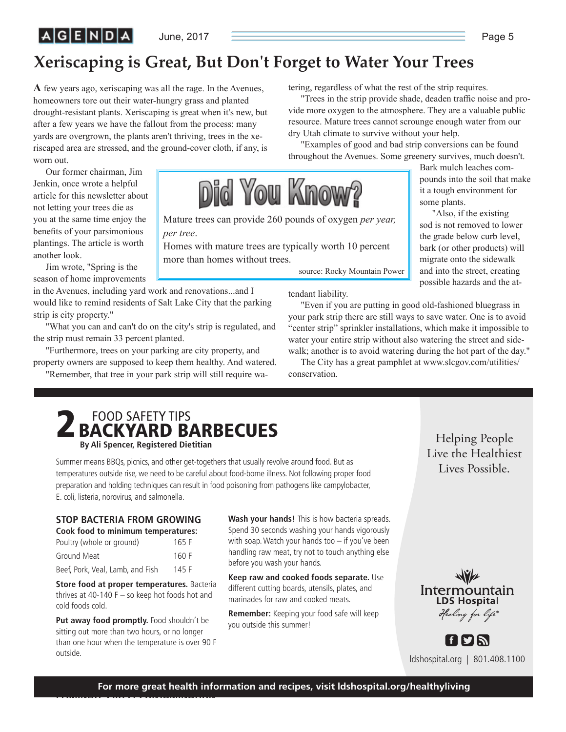# $|A|G|E|N|D|A|$

June, 2017  $\qquad \qquad$  Page 5

# **Xeriscaping is Great, But Don't Forget to Water Your Trees**

Mature trees can provide 260 pounds of oxygen *per year,* 

Did You Know?

Homes with mature trees are typically worth 10 percent

**A** few years ago, xeriscaping was all the rage. In the Avenues, homeowners tore out their water-hungry grass and planted drought-resistant plants. Xeriscaping is great when it's new, but after a few years we have the fallout from the process: many yards are overgrown, the plants aren't thriving, trees in the xeriscaped area are stressed, and the ground-cover cloth, if any, is worn out.

Our former chairman, Jim Jenkin, once wrote a helpful article for this newsletter about not letting your trees die as you at the same time enjoy the benefits of your parsimonious plantings. The article is worth another look.

Jim wrote, "Spring is the season of home improvements

in the Avenues, including yard work and renovations...and I would like to remind residents of Salt Lake City that the parking strip is city property."

*per tree*.

more than homes without trees.

"What you can and can't do on the city's strip is regulated, and the strip must remain 33 percent planted.

"Furthermore, trees on your parking are city property, and property owners are supposed to keep them healthy. And watered.

"Remember, that tree in your park strip will still require wa-

tering, regardless of what the rest of the strip requires.

"Trees in the strip provide shade, deaden traffic noise and provide more oxygen to the atmosphere. They are a valuable public resource. Mature trees cannot scrounge enough water from our dry Utah climate to survive without your help.

"Examples of good and bad strip conversions can be found throughout the Avenues. Some greenery survives, much doesn't.

> Bark mulch leaches compounds into the soil that make it a tough environment for some plants.

"Also, if the existing sod is not removed to lower the grade below curb level, bark (or other products) will migrate onto the sidewalk and into the street, creating possible hazards and the at-

tendant liability.

source: Rocky Mountain Power

"Even if you are putting in good old-fashioned bluegrass in your park strip there are still ways to save water. One is to avoid "center strip" sprinkler installations, which make it impossible to water your entire strip without also watering the street and sidewalk; another is to avoid watering during the hot part of the day."

The City has a great pamphlet at www.slcgov.com/utilities/ conservation.



Summer means BBQs, picnics, and other get-togethers that usually revolve around food. But as temperatures outside rise, we need to be careful about food-borne illness. Not following proper food preparation and holding techniques can result in food poisoning from pathogens like campylobacter, E. coli, listeria, norovirus, and salmonella.

## **STOP BACTERIA FROM GROWING**

| Cook food to minimum temperatures: |       |
|------------------------------------|-------|
| Poultry (whole or ground)          | 165 F |
| Ground Meat                        | 160 F |
| Beef, Pork, Veal, Lamb, and Fish   | 145 F |

**Store food at proper temperatures.** Bacteria thrives at 40-140  $F -$  so keep hot foods hot and cold foods cold.

Put away food promptly. Food shouldn't be sitting out more than two hours, or no longer than one hour when the temperature is over 90 F outside.

**Wash your hands!** This is how bacteria spreads. Spend 30 seconds washing your hands vigorously with soap. Watch your hands too – if you've been handling raw meat, try not to touch anything else before you wash your hands.

**Keep raw and cooked foods separate.** Use different cutting boards, utensils, plates, and marinades for raw and cooked meats.

**Remember:** Keeping your food safe will keep you outside this summer!

Helping People Lives Possible. Lives Possible.

Intermountain **LDS Hospital** Healing for life®

ldshospital.org | 801.408.1100

[f**eys**